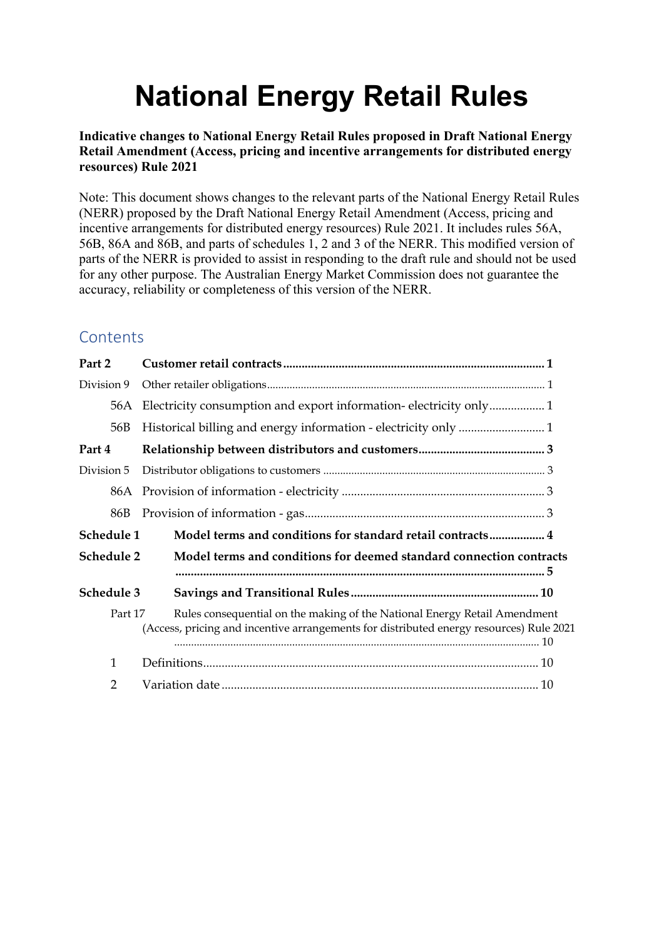# **National Energy Retail Rules**

**Indicative changes to National Energy Retail Rules proposed in Draft National Energy Retail Amendment (Access, pricing and incentive arrangements for distributed energy resources) Rule 2021**

Note: This document shows changes to the relevant parts of the National Energy Retail Rules (NERR) proposed by the Draft National Energy Retail Amendment (Access, pricing and incentive arrangements for distributed energy resources) Rule 2021. It includes rules 56A, 56B, 86A and 86B, and parts of schedules 1, 2 and 3 of the NERR. This modified version of parts of the NERR is provided to assist in responding to the draft rule and should not be used for any other purpose. The Australian Energy Market Commission does not guarantee the accuracy, reliability or completeness of this version of the NERR.

# **Contents**

| Model terms and conditions for standard retail contracts 4                                                                                                           |
|----------------------------------------------------------------------------------------------------------------------------------------------------------------------|
| Model terms and conditions for deemed standard connection contracts                                                                                                  |
|                                                                                                                                                                      |
| Rules consequential on the making of the National Energy Retail Amendment<br>(Access, pricing and incentive arrangements for distributed energy resources) Rule 2021 |
|                                                                                                                                                                      |
|                                                                                                                                                                      |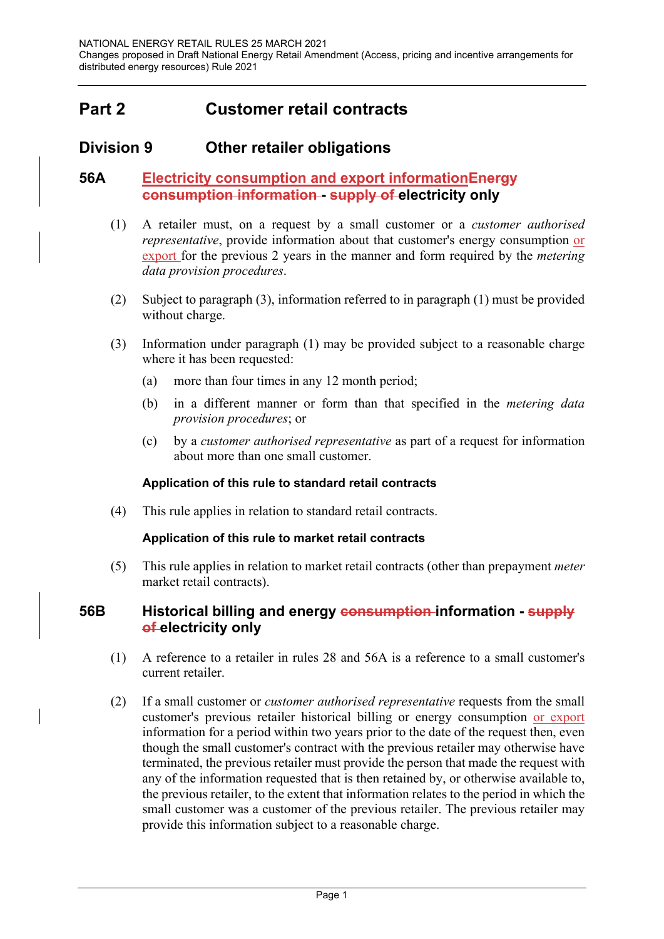# **Part 2 Customer retail contracts**

## **Division 9 Other retailer obligations**

#### **56A Electricity consumption and export informationEnergy consumption information - supply of electricity only**

- (1) A retailer must, on a request by a small customer or a *customer authorised representative*, provide information about that customer's energy consumption or export for the previous 2 years in the manner and form required by the *metering data provision procedures*.
- (2) Subject to paragraph (3), information referred to in paragraph (1) must be provided without charge.
- (3) Information under paragraph (1) may be provided subject to a reasonable charge where it has been requested:
	- (a) more than four times in any 12 month period;
	- (b) in a different manner or form than that specified in the *metering data provision procedures*; or
	- (c) by a *customer authorised representative* as part of a request for information about more than one small customer.

#### **Application of this rule to standard retail contracts**

(4) This rule applies in relation to standard retail contracts.

#### **Application of this rule to market retail contracts**

(5) This rule applies in relation to market retail contracts (other than prepayment *meter* market retail contracts).

#### **56B Historical billing and energy consumption information - supply of electricity only**

- (1) A reference to a retailer in rules 28 and 56A is a reference to a small customer's current retailer.
- (2) If a small customer or *customer authorised representative* requests from the small customer's previous retailer historical billing or energy consumption or export information for a period within two years prior to the date of the request then, even though the small customer's contract with the previous retailer may otherwise have terminated, the previous retailer must provide the person that made the request with any of the information requested that is then retained by, or otherwise available to, the previous retailer, to the extent that information relates to the period in which the small customer was a customer of the previous retailer. The previous retailer may provide this information subject to a reasonable charge.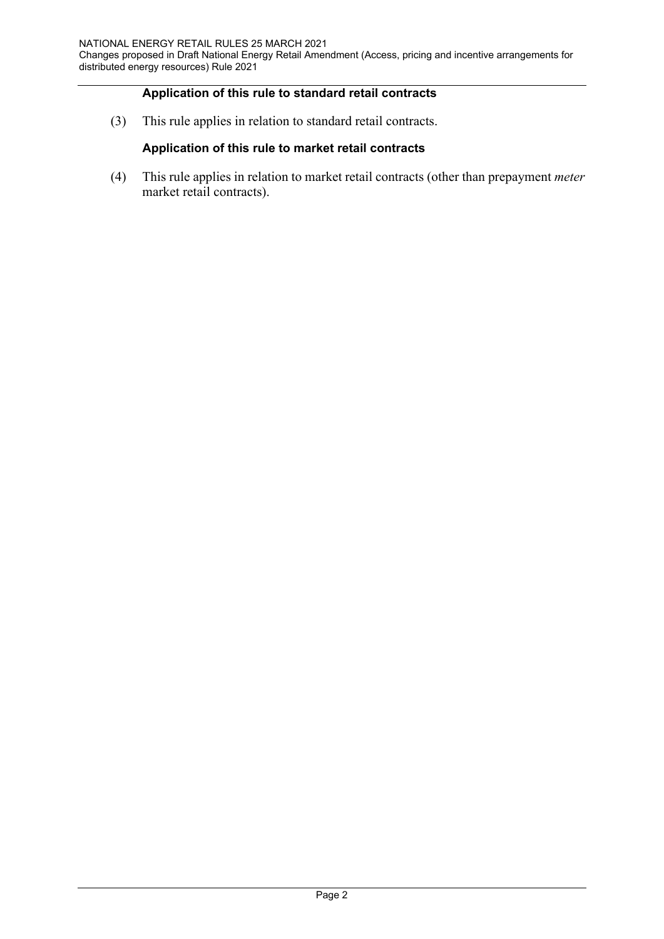#### **Application of this rule to standard retail contracts**

(3) This rule applies in relation to standard retail contracts.

#### **Application of this rule to market retail contracts**

(4) This rule applies in relation to market retail contracts (other than prepayment *meter* market retail contracts).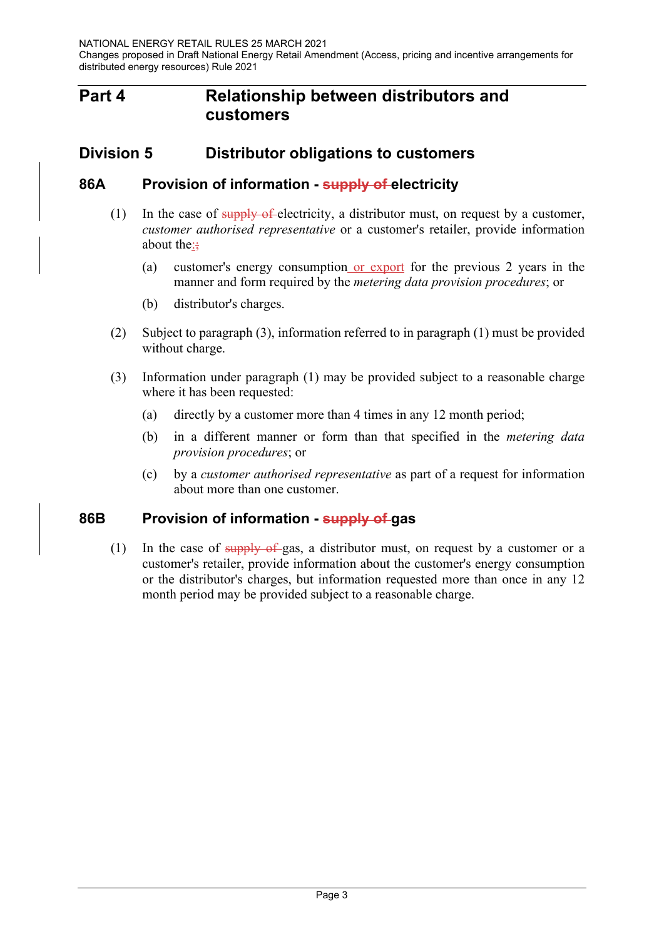## **Part 4 Relationship between distributors and customers**

## **Division 5 Distributor obligations to customers**

#### **86A Provision of information - supply of electricity**

- (1) In the case of supply of electricity, a distributor must, on request by a customer, *customer authorised representative* or a customer's retailer, provide information about the: $\div$ 
	- (a) customer's energy consumption or export for the previous 2 years in the manner and form required by the *metering data provision procedures*; or
	- (b) distributor's charges.
- (2) Subject to paragraph (3), information referred to in paragraph (1) must be provided without charge.
- (3) Information under paragraph (1) may be provided subject to a reasonable charge where it has been requested:
	- (a) directly by a customer more than 4 times in any 12 month period;
	- (b) in a different manner or form than that specified in the *metering data provision procedures*; or
	- (c) by a *customer authorised representative* as part of a request for information about more than one customer.

#### **86B Provision of information - supply of gas**

(1) In the case of supply of gas, a distributor must, on request by a customer or a customer's retailer, provide information about the customer's energy consumption or the distributor's charges, but information requested more than once in any 12 month period may be provided subject to a reasonable charge.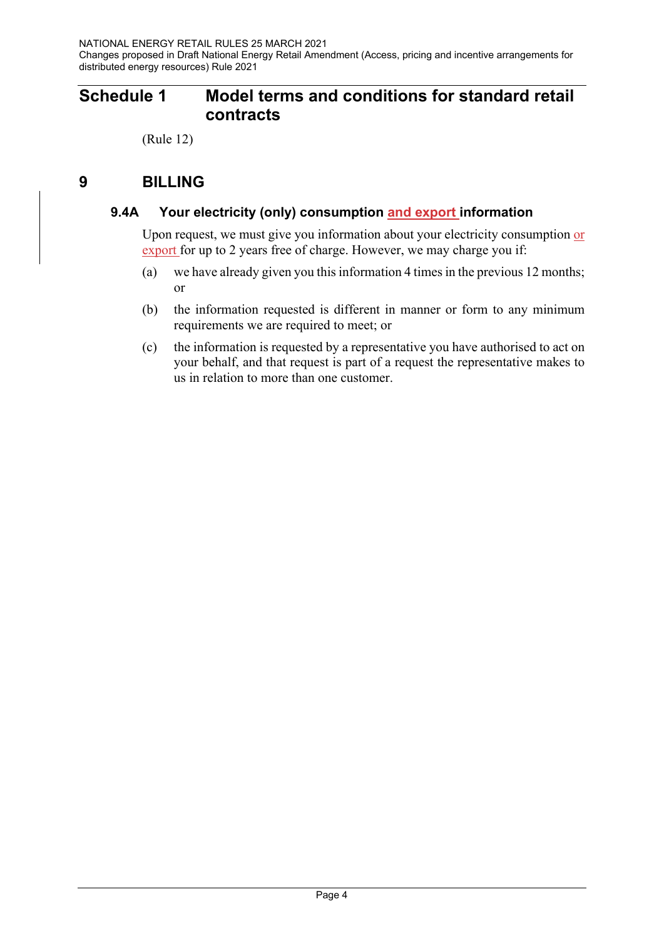# **Schedule 1 Model terms and conditions for standard retail contracts**

(Rule 12)

# **9 BILLING**

#### **9.4A Your electricity (only) consumption and export information**

Upon request, we must give you information about your electricity consumption or export for up to 2 years free of charge. However, we may charge you if:

- (a) we have already given you this information 4 times in the previous 12 months; or
- (b) the information requested is different in manner or form to any minimum requirements we are required to meet; or
- (c) the information is requested by a representative you have authorised to act on your behalf, and that request is part of a request the representative makes to us in relation to more than one customer.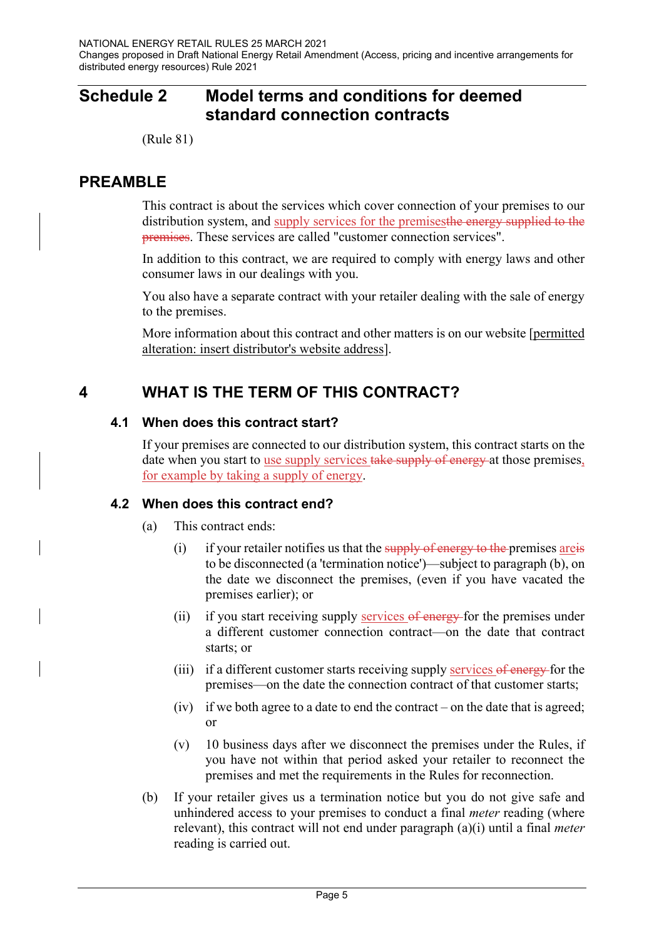# **Schedule 2 Model terms and conditions for deemed standard connection contracts**

(Rule 81)

## **PREAMBLE**

This contract is about the services which cover connection of your premises to our distribution system, and supply services for the premises the energy supplied to the premises. These services are called "customer connection services".

In addition to this contract, we are required to comply with energy laws and other consumer laws in our dealings with you.

You also have a separate contract with your retailer dealing with the sale of energy to the premises.

More information about this contract and other matters is on our website [permitted alteration: insert distributor's website address].

## **4 WHAT IS THE TERM OF THIS CONTRACT?**

#### **4.1 When does this contract start?**

If your premises are connected to our distribution system, this contract starts on the date when you start to use supply services take supply of energy at those premises, for example by taking a supply of energy.

#### **4.2 When does this contract end?**

- (a) This contract ends:
	- (i) if your retailer notifies us that the supply of energy to the premises are is to be disconnected (a 'termination notice')—subject to paragraph (b), on the date we disconnect the premises, (even if you have vacated the premises earlier); or
	- (ii) if you start receiving supply services  $\theta$  energy for the premises under a different customer connection contract—on the date that contract starts; or
	- (iii) if a different customer starts receiving supply services of energy for the premises—on the date the connection contract of that customer starts;
	- (iv) if we both agree to a date to end the contract on the date that is agreed; or
	- (v) 10 business days after we disconnect the premises under the Rules, if you have not within that period asked your retailer to reconnect the premises and met the requirements in the Rules for reconnection.
- (b) If your retailer gives us a termination notice but you do not give safe and unhindered access to your premises to conduct a final *meter* reading (where relevant), this contract will not end under paragraph (a)(i) until a final *meter* reading is carried out.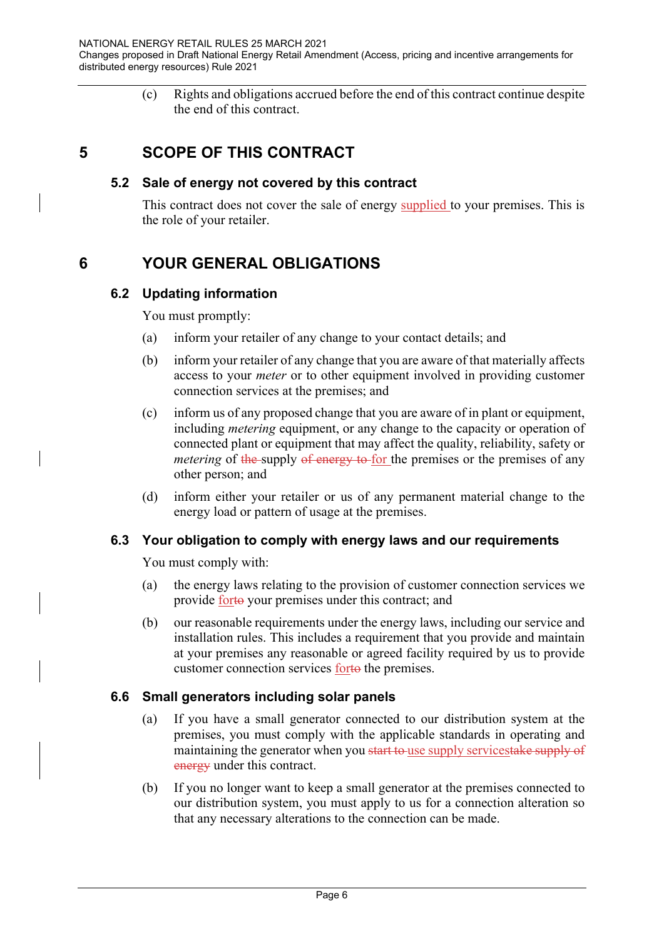(c) Rights and obligations accrued before the end of this contract continue despite the end of this contract.

## **5 SCOPE OF THIS CONTRACT**

#### **5.2 Sale of energy not covered by this contract**

This contract does not cover the sale of energy supplied to your premises. This is the role of your retailer.

# **6 YOUR GENERAL OBLIGATIONS**

#### **6.2 Updating information**

You must promptly:

- (a) inform your retailer of any change to your contact details; and
- (b) inform your retailer of any change that you are aware of that materially affects access to your *meter* or to other equipment involved in providing customer connection services at the premises; and
- (c) inform us of any proposed change that you are aware of in plant or equipment, including *metering* equipment, or any change to the capacity or operation of connected plant or equipment that may affect the quality, reliability, safety or *metering* of the supply of energy to for the premises or the premises of any other person; and
- (d) inform either your retailer or us of any permanent material change to the energy load or pattern of usage at the premises.

#### **6.3 Your obligation to comply with energy laws and our requirements**

You must comply with:

- (a) the energy laws relating to the provision of customer connection services we provide forto your premises under this contract; and
- (b) our reasonable requirements under the energy laws, including our service and installation rules. This includes a requirement that you provide and maintain at your premises any reasonable or agreed facility required by us to provide customer connection services forto the premises.

#### **6.6 Small generators including solar panels**

- (a) If you have a small generator connected to our distribution system at the premises, you must comply with the applicable standards in operating and maintaining the generator when you start to use supply servicestake supply of energy under this contract.
- (b) If you no longer want to keep a small generator at the premises connected to our distribution system, you must apply to us for a connection alteration so that any necessary alterations to the connection can be made.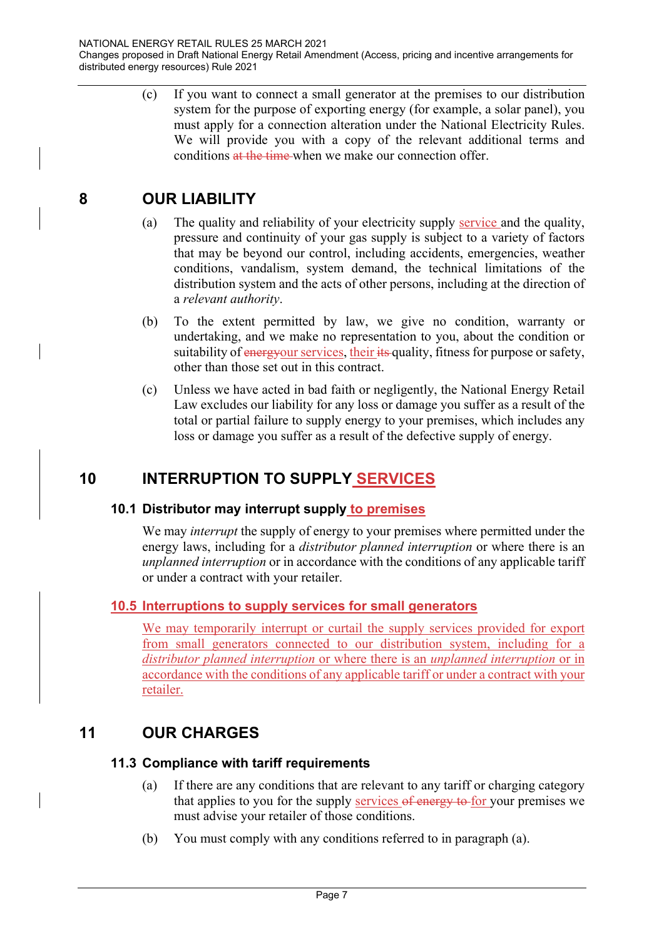(c) If you want to connect a small generator at the premises to our distribution system for the purpose of exporting energy (for example, a solar panel), you must apply for a connection alteration under the National Electricity Rules. We will provide you with a copy of the relevant additional terms and conditions at the time when we make our connection offer.

## **8 OUR LIABILITY**

- (a) The quality and reliability of your electricity supply service and the quality, pressure and continuity of your gas supply is subject to a variety of factors that may be beyond our control, including accidents, emergencies, weather conditions, vandalism, system demand, the technical limitations of the distribution system and the acts of other persons, including at the direction of a *relevant authority*.
- (b) To the extent permitted by law, we give no condition, warranty or undertaking, and we make no representation to you, about the condition or suitability of energyour services, their its quality, fitness for purpose or safety, other than those set out in this contract.
- (c) Unless we have acted in bad faith or negligently, the National Energy Retail Law excludes our liability for any loss or damage you suffer as a result of the total or partial failure to supply energy to your premises, which includes any loss or damage you suffer as a result of the defective supply of energy.

# **10 INTERRUPTION TO SUPPLY SERVICES**

#### **10.1 Distributor may interrupt supply to premises**

We may *interrupt* the supply of energy to your premises where permitted under the energy laws, including for a *distributor planned interruption* or where there is an *unplanned interruption* or in accordance with the conditions of any applicable tariff or under a contract with your retailer.

#### **10.5 Interruptions to supply services for small generators**

We may temporarily interrupt or curtail the supply services provided for export from small generators connected to our distribution system, including for a *distributor planned interruption* or where there is an *unplanned interruption* or in accordance with the conditions of any applicable tariff or under a contract with your retailer.

## **11 OUR CHARGES**

#### **11.3 Compliance with tariff requirements**

- (a) If there are any conditions that are relevant to any tariff or charging category that applies to you for the supply services of energy to for your premises we must advise your retailer of those conditions.
- (b) You must comply with any conditions referred to in paragraph (a).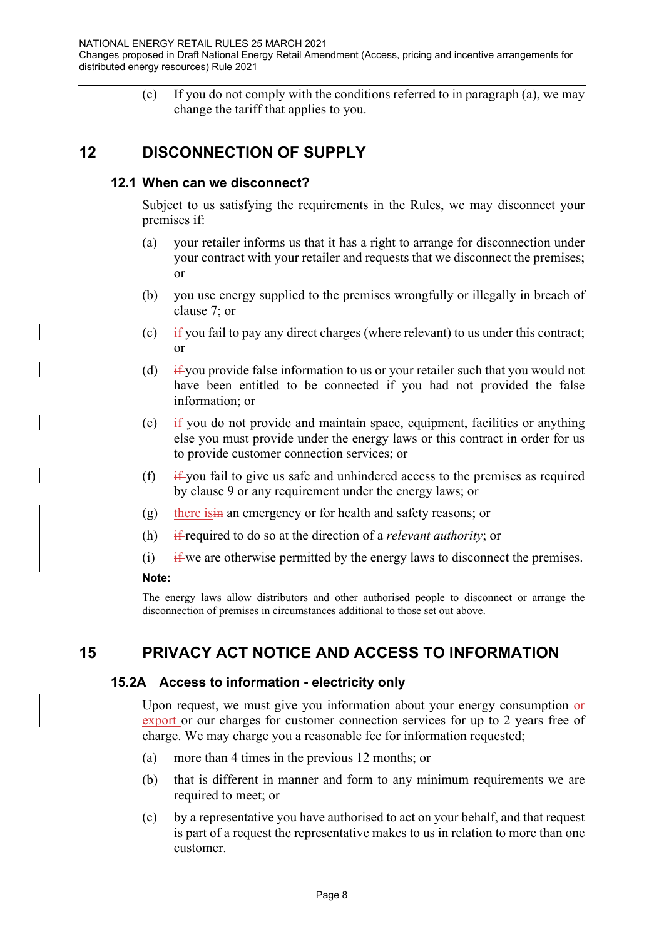(c) If you do not comply with the conditions referred to in paragraph (a), we may change the tariff that applies to you.

## **12 DISCONNECTION OF SUPPLY**

#### **12.1 When can we disconnect?**

Subject to us satisfying the requirements in the Rules, we may disconnect your premises if:

- (a) your retailer informs us that it has a right to arrange for disconnection under your contract with your retailer and requests that we disconnect the premises; or
- (b) you use energy supplied to the premises wrongfully or illegally in breach of clause 7; or
- (c) if you fail to pay any direct charges (where relevant) to us under this contract; or
- (d)  $\frac{if}{f}$  if you provide false information to us or your retailer such that you would not have been entitled to be connected if you had not provided the false information; or
- (e)  $\frac{d}{dx}$  you do not provide and maintain space, equipment, facilities or anything else you must provide under the energy laws or this contract in order for us to provide customer connection services; or
- (f) if you fail to give us safe and unhindered access to the premises as required by clause 9 or any requirement under the energy laws; or
- (g) there is in an emergency or for health and safety reasons; or
- (h) if required to do so at the direction of a *relevant authority*; or
- (i) if we are otherwise permitted by the energy laws to disconnect the premises.

#### **Note:**

The energy laws allow distributors and other authorised people to disconnect or arrange the disconnection of premises in circumstances additional to those set out above.

## **15 PRIVACY ACT NOTICE AND ACCESS TO INFORMATION**

#### **15.2A Access to information - electricity only**

Upon request, we must give you information about your energy consumption or export or our charges for customer connection services for up to 2 years free of charge. We may charge you a reasonable fee for information requested;

- (a) more than 4 times in the previous 12 months; or
- (b) that is different in manner and form to any minimum requirements we are required to meet; or
- (c) by a representative you have authorised to act on your behalf, and that request is part of a request the representative makes to us in relation to more than one customer.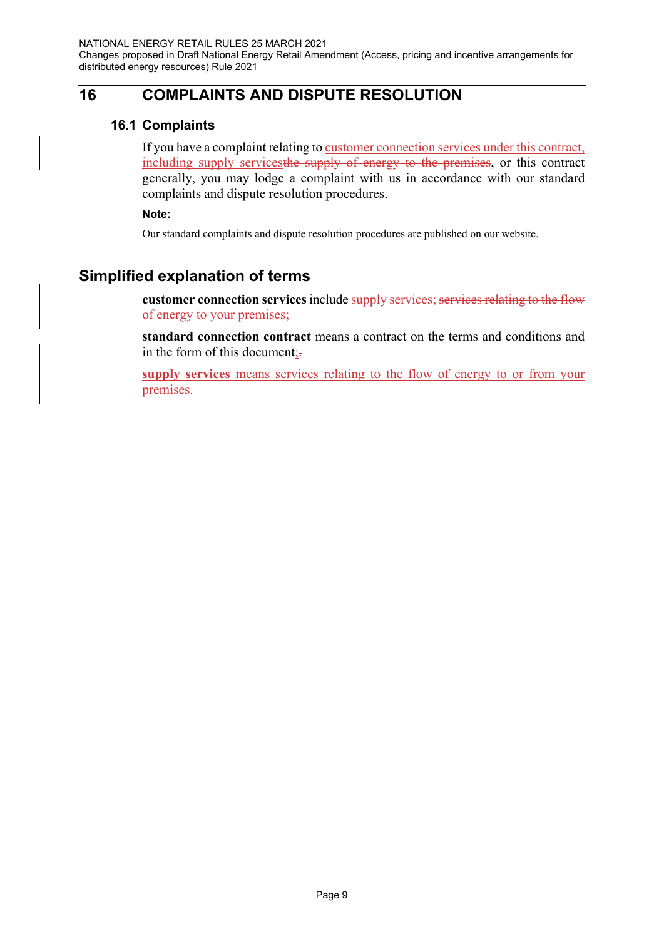# **16 COMPLAINTS AND DISPUTE RESOLUTION**

#### **16.1 Complaints**

If you have a complaint relating to customer connection services under this contract, including supply servicesthe supply of energy to the premises, or this contract generally, you may lodge a complaint with us in accordance with our standard complaints and dispute resolution procedures.

**Note:** 

Our standard complaints and dispute resolution procedures are published on our website.

# **Simplified explanation of terms**

**customer connection services** include supply services; services relating to the flow of energy to your premises;

**standard connection contract** means a contract on the terms and conditions and in the form of this document;-

**supply services** means services relating to the flow of energy to or from your premises.